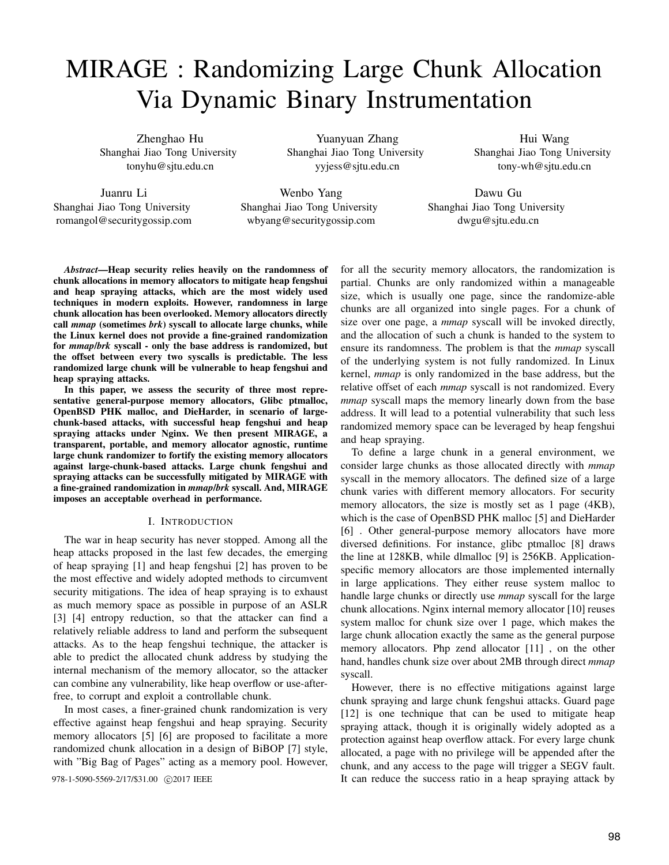# MIRAGE : Randomizing Large Chunk Allocation Via Dynamic Binary Instrumentation

Zhenghao Hu Shanghai Jiao Tong University tonyhu@sjtu.edu.cn

Juanru Li Shanghai Jiao Tong University romangol@securitygossip.com Shanghai Jiao Tong University yyjess@sjtu.edu.cn

Yuanyuan Zhang

Hui Wang Shanghai Jiao Tong University tony-wh@sjtu.edu.cn

Wenbo Yang Shanghai Jiao Tong University wbyang@securitygossip.com

Dawu Gu Shanghai Jiao Tong University dwgu@sjtu.edu.cn

*Abstract*—Heap security relies heavily on the randomness of chunk allocations in memory allocators to mitigate heap fengshui and heap spraying attacks, which are the most widely used techniques in modern exploits. However, randomness in large chunk allocation has been overlooked. Memory allocators directly call *mmap* (sometimes *brk*) syscall to allocate large chunks, while the Linux kernel does not provide a fine-grained randomization for *mmap*/*brk* syscall - only the base address is randomized, but the offset between every two syscalls is predictable. The less randomized large chunk will be vulnerable to heap fengshui and heap spraying attacks.

In this paper, we assess the security of three most representative general-purpose memory allocators, Glibc ptmalloc, OpenBSD PHK malloc, and DieHarder, in scenario of largechunk-based attacks, with successful heap fengshui and heap spraying attacks under Nginx. We then present MIRAGE, a transparent, portable, and memory allocator agnostic, runtime large chunk randomizer to fortify the existing memory allocators against large-chunk-based attacks. Large chunk fengshui and spraying attacks can be successfully mitigated by MIRAGE with a fine-grained randomization in *mmap*/*brk* syscall. And, MIRAGE imposes an acceptable overhead in performance.

## I. INTRODUCTION

The war in heap security has never stopped. Among all the heap attacks proposed in the last few decades, the emerging of heap spraying [1] and heap fengshui [2] has proven to be the most effective and widely adopted methods to circumvent security mitigations. The idea of heap spraying is to exhaust as much memory space as possible in purpose of an ASLR [3] [4] entropy reduction, so that the attacker can find a relatively reliable address to land and perform the subsequent attacks. As to the heap fengshui technique, the attacker is able to predict the allocated chunk address by studying the internal mechanism of the memory allocator, so the attacker can combine any vulnerability, like heap overflow or use-afterfree, to corrupt and exploit a controllable chunk.

In most cases, a finer-grained chunk randomization is very effective against heap fengshui and heap spraying. Security memory allocators [5] [6] are proposed to facilitate a more randomized chunk allocation in a design of BiBOP [7] style, with "Big Bag of Pages" acting as a memory pool. However,

978-1-5090-5569-2/17/\$31.00 C2017 IEEE

for all the security memory allocators, the randomization is partial. Chunks are only randomized within a manageable size, which is usually one page, since the randomize-able chunks are all organized into single pages. For a chunk of size over one page, a *mmap* syscall will be invoked directly, and the allocation of such a chunk is handed to the system to ensure its randomness. The problem is that the *mmap* syscall of the underlying system is not fully randomized. In Linux kernel, *mmap* is only randomized in the base address, but the relative offset of each *mmap* syscall is not randomized. Every *mmap* syscall maps the memory linearly down from the base address. It will lead to a potential vulnerability that such less randomized memory space can be leveraged by heap fengshui and heap spraying.

To define a large chunk in a general environment, we consider large chunks as those allocated directly with *mmap* syscall in the memory allocators. The defined size of a large chunk varies with different memory allocators. For security memory allocators, the size is mostly set as 1 page (4KB), which is the case of OpenBSD PHK malloc [5] and DieHarder [6] . Other general-purpose memory allocators have more diversed definitions. For instance, glibc ptmalloc [8] draws the line at 128KB, while dlmalloc [9] is 256KB. Applicationspecific memory allocators are those implemented internally in large applications. They either reuse system malloc to handle large chunks or directly use *mmap* syscall for the large chunk allocations. Nginx internal memory allocator [10] reuses system malloc for chunk size over 1 page, which makes the large chunk allocation exactly the same as the general purpose memory allocators. Php zend allocator [11] , on the other hand, handles chunk size over about 2MB through direct *mmap* syscall.

However, there is no effective mitigations against large chunk spraying and large chunk fengshui attacks. Guard page [12] is one technique that can be used to mitigate heap spraying attack, though it is originally widely adopted as a protection against heap overflow attack. For every large chunk allocated, a page with no privilege will be appended after the chunk, and any access to the page will trigger a SEGV fault. It can reduce the success ratio in a heap spraying attack by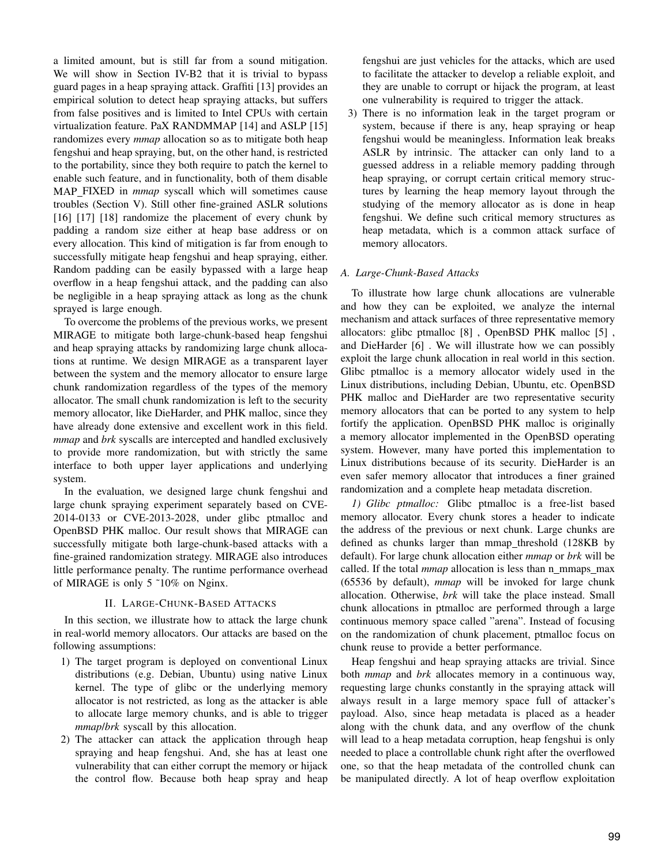a limited amount, but is still far from a sound mitigation. We will show in Section IV-B2 that it is trivial to bypass guard pages in a heap spraying attack. Graffiti [13] provides an empirical solution to detect heap spraying attacks, but suffers from false positives and is limited to Intel CPUs with certain virtualization feature. PaX RANDMMAP [14] and ASLP [15] randomizes every *mmap* allocation so as to mitigate both heap fengshui and heap spraying, but, on the other hand, is restricted to the portability, since they both require to patch the kernel to enable such feature, and in functionality, both of them disable MAP FIXED in *mmap* syscall which will sometimes cause troubles (Section V). Still other fine-grained ASLR solutions [16] [17] [18] randomize the placement of every chunk by padding a random size either at heap base address or on every allocation. This kind of mitigation is far from enough to successfully mitigate heap fengshui and heap spraying, either. Random padding can be easily bypassed with a large heap overflow in a heap fengshui attack, and the padding can also be negligible in a heap spraying attack as long as the chunk sprayed is large enough.

To overcome the problems of the previous works, we present MIRAGE to mitigate both large-chunk-based heap fengshui and heap spraying attacks by randomizing large chunk allocations at runtime. We design MIRAGE as a transparent layer between the system and the memory allocator to ensure large chunk randomization regardless of the types of the memory allocator. The small chunk randomization is left to the security memory allocator, like DieHarder, and PHK malloc, since they have already done extensive and excellent work in this field. *mmap* and *brk* syscalls are intercepted and handled exclusively to provide more randomization, but with strictly the same interface to both upper layer applications and underlying system.

In the evaluation, we designed large chunk fengshui and large chunk spraying experiment separately based on CVE-2014-0133 or CVE-2013-2028, under glibc ptmalloc and OpenBSD PHK malloc. Our result shows that MIRAGE can successfully mitigate both large-chunk-based attacks with a fine-grained randomization strategy. MIRAGE also introduces little performance penalty. The runtime performance overhead of MIRAGE is only 5 ˜10% on Nginx.

# II. LARGE-CHUNK-BASED ATTACKS

In this section, we illustrate how to attack the large chunk in real-world memory allocators. Our attacks are based on the following assumptions:

- 1) The target program is deployed on conventional Linux distributions (e.g. Debian, Ubuntu) using native Linux kernel. The type of glibc or the underlying memory allocator is not restricted, as long as the attacker is able to allocate large memory chunks, and is able to trigger *mmap*/*brk* syscall by this allocation.
- 2) The attacker can attack the application through heap spraying and heap fengshui. And, she has at least one vulnerability that can either corrupt the memory or hijack the control flow. Because both heap spray and heap

fengshui are just vehicles for the attacks, which are used to facilitate the attacker to develop a reliable exploit, and they are unable to corrupt or hijack the program, at least one vulnerability is required to trigger the attack.

3) There is no information leak in the target program or system, because if there is any, heap spraying or heap fengshui would be meaningless. Information leak breaks ASLR by intrinsic. The attacker can only land to a guessed address in a reliable memory padding through heap spraying, or corrupt certain critical memory structures by learning the heap memory layout through the studying of the memory allocator as is done in heap fengshui. We define such critical memory structures as heap metadata, which is a common attack surface of memory allocators.

# *A. Large-Chunk-Based Attacks*

To illustrate how large chunk allocations are vulnerable and how they can be exploited, we analyze the internal mechanism and attack surfaces of three representative memory allocators: glibc ptmalloc [8] , OpenBSD PHK malloc [5] , and DieHarder [6] . We will illustrate how we can possibly exploit the large chunk allocation in real world in this section. Glibc ptmalloc is a memory allocator widely used in the Linux distributions, including Debian, Ubuntu, etc. OpenBSD PHK malloc and DieHarder are two representative security memory allocators that can be ported to any system to help fortify the application. OpenBSD PHK malloc is originally a memory allocator implemented in the OpenBSD operating system. However, many have ported this implementation to Linux distributions because of its security. DieHarder is an even safer memory allocator that introduces a finer grained randomization and a complete heap metadata discretion.

*1) Glibc ptmalloc:* Glibc ptmalloc is a free-list based memory allocator. Every chunk stores a header to indicate the address of the previous or next chunk. Large chunks are defined as chunks larger than mmap threshold (128KB by default). For large chunk allocation either *mmap* or *brk* will be called. If the total *mmap* allocation is less than n\_mmaps\_max (65536 by default), *mmap* will be invoked for large chunk allocation. Otherwise, *brk* will take the place instead. Small chunk allocations in ptmalloc are performed through a large continuous memory space called "arena". Instead of focusing on the randomization of chunk placement, ptmalloc focus on chunk reuse to provide a better performance.

Heap fengshui and heap spraying attacks are trivial. Since both *mmap* and *brk* allocates memory in a continuous way, requesting large chunks constantly in the spraying attack will always result in a large memory space full of attacker's payload. Also, since heap metadata is placed as a header along with the chunk data, and any overflow of the chunk will lead to a heap metadata corruption, heap fengshui is only needed to place a controllable chunk right after the overflowed one, so that the heap metadata of the controlled chunk can be manipulated directly. A lot of heap overflow exploitation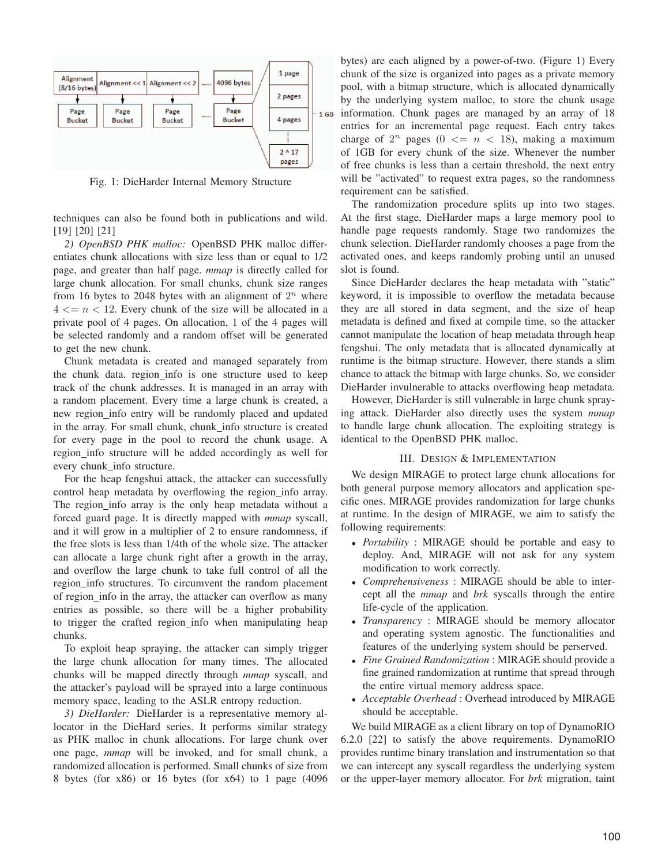

Fig. 1: DieHarder Internal Memory Structure

techniques can also be found both in publications and wild. [19] [20] [21]

*2) OpenBSD PHK malloc:* OpenBSD PHK malloc differentiates chunk allocations with size less than or equal to 1/2 page, and greater than half page. *mmap* is directly called for large chunk allocation. For small chunks, chunk size ranges from 16 bytes to 2048 bytes with an alignment of  $2^n$  where  $4 \leq n \leq 12$ . Every chunk of the size will be allocated in a private pool of 4 pages. On allocation, 1 of the 4 pages will be selected randomly and a random offset will be generated to get the new chunk.

Chunk metadata is created and managed separately from the chunk data. region info is one structure used to keep track of the chunk addresses. It is managed in an array with a random placement. Every time a large chunk is created, a new region\_info entry will be randomly placed and updated in the array. For small chunk, chunk\_info structure is created for every page in the pool to record the chunk usage. A region info structure will be added accordingly as well for every chunk info structure.

For the heap fengshui attack, the attacker can successfully control heap metadata by overflowing the region\_info array. The region\_info array is the only heap metadata without a forced guard page. It is directly mapped with *mmap* syscall, and it will grow in a multiplier of 2 to ensure randomness, if the free slots is less than 1/4th of the whole size. The attacker can allocate a large chunk right after a growth in the array, and overflow the large chunk to take full control of all the region info structures. To circumvent the random placement of region info in the array, the attacker can overflow as many entries as possible, so there will be a higher probability to trigger the crafted region info when manipulating heap chunks.

To exploit heap spraying, the attacker can simply trigger the large chunk allocation for many times. The allocated chunks will be mapped directly through *mmap* syscall, and the attacker's payload will be sprayed into a large continuous memory space, leading to the ASLR entropy reduction.

*3) DieHarder:* DieHarder is a representative memory allocator in the DieHard series. It performs similar strategy as PHK malloc in chunk allocations. For large chunk over one page, *mmap* will be invoked, and for small chunk, a randomized allocation is performed. Small chunks of size from 8 bytes (for x86) or 16 bytes (for x64) to 1 page (4096

bytes) are each aligned by a power-of-two. (Figure 1) Every chunk of the size is organized into pages as a private memory pool, with a bitmap structure, which is allocated dynamically by the underlying system malloc, to store the chunk usage information. Chunk pages are managed by an array of 18 entries for an incremental page request. Each entry takes charge of  $2^n$  pages  $(0 \leq n \leq 18)$ , making a maximum of 1GB for every chunk of the size. Whenever the number of free chunks is less than a certain threshold, the next entry will be "activated" to request extra pages, so the randomness requirement can be satisfied.

The randomization procedure splits up into two stages. At the first stage, DieHarder maps a large memory pool to handle page requests randomly. Stage two randomizes the chunk selection. DieHarder randomly chooses a page from the activated ones, and keeps randomly probing until an unused slot is found.

Since DieHarder declares the heap metadata with "static" keyword, it is impossible to overflow the metadata because they are all stored in data segment, and the size of heap metadata is defined and fixed at compile time, so the attacker cannot manipulate the location of heap metadata through heap fengshui. The only metadata that is allocated dynamically at runtime is the bitmap structure. However, there stands a slim chance to attack the bitmap with large chunks. So, we consider DieHarder invulnerable to attacks overflowing heap metadata.

However, DieHarder is still vulnerable in large chunk spraying attack. DieHarder also directly uses the system *mmap* to handle large chunk allocation. The exploiting strategy is identical to the OpenBSD PHK malloc.

## III. DESIGN & IMPLEMENTATION

We design MIRAGE to protect large chunk allocations for both general purpose memory allocators and application specific ones. MIRAGE provides randomization for large chunks at runtime. In the design of MIRAGE, we aim to satisfy the following requirements:

- *Portability* : MIRAGE should be portable and easy to deploy. And, MIRAGE will not ask for any system modification to work correctly.
- *Comprehensiveness* : MIRAGE should be able to intercept all the *mmap* and *brk* syscalls through the entire life-cycle of the application.
- *Transparency* : MIRAGE should be memory allocator and operating system agnostic. The functionalities and features of the underlying system should be perserved.
- *Fine Grained Randomization* : MIRAGE should provide a fine grained randomization at runtime that spread through the entire virtual memory address space.
- *Acceptable Overhead* : Overhead introduced by MIRAGE should be acceptable.

We build MIRAGE as a client library on top of DynamoRIO 6.2.0 [22] to satisfy the above requirements. DynamoRIO provides runtime binary translation and instrumentation so that we can intercept any syscall regardless the underlying system or the upper-layer memory allocator. For *brk* migration, taint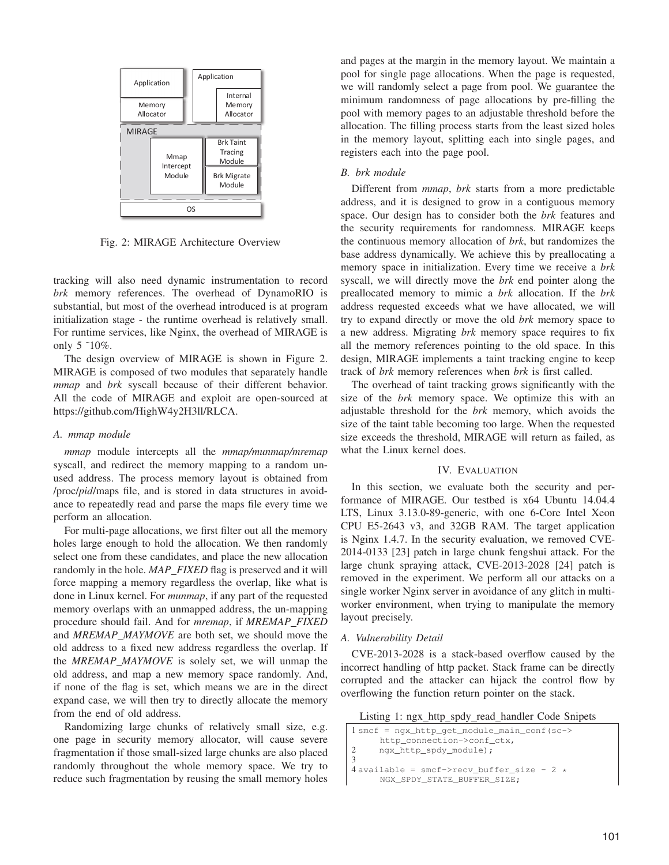

Fig. 2: MIRAGE Architecture Overview

tracking will also need dynamic instrumentation to record *brk* memory references. The overhead of DynamoRIO is substantial, but most of the overhead introduced is at program initialization stage - the runtime overhead is relatively small. For runtime services, like Nginx, the overhead of MIRAGE is only 5 ˜10%.

The design overview of MIRAGE is shown in Figure 2. MIRAGE is composed of two modules that separately handle *mmap* and *brk* syscall because of their different behavior. All the code of MIRAGE and exploit are open-sourced at https://github.com/HighW4y2H3ll/RLCA.

#### *A. mmap module*

*mmap* module intercepts all the *mmap/munmap/mremap* syscall, and redirect the memory mapping to a random unused address. The process memory layout is obtained from /proc/*pid*/maps file, and is stored in data structures in avoidance to repeatedly read and parse the maps file every time we perform an allocation.

For multi-page allocations, we first filter out all the memory holes large enough to hold the allocation. We then randomly select one from these candidates, and place the new allocation randomly in the hole. MAP\_FIXED flag is preserved and it will force mapping a memory regardless the overlap, like what is done in Linux kernel. For *munmap*, if any part of the requested memory overlaps with an unmapped address, the un-mapping procedure should fail. And for *mremap*, if *MREMAP FIXED* and *MREMAP MAYMOVE* are both set, we should move the old address to a fixed new address regardless the overlap. If the *MREMAP MAYMOVE* is solely set, we will unmap the old address, and map a new memory space randomly. And, if none of the flag is set, which means we are in the direct expand case, we will then try to directly allocate the memory from the end of old address.

Randomizing large chunks of relatively small size, e.g. one page in security memory allocator, will cause severe fragmentation if those small-sized large chunks are also placed randomly throughout the whole memory space. We try to reduce such fragmentation by reusing the small memory holes

and pages at the margin in the memory layout. We maintain a pool for single page allocations. When the page is requested, we will randomly select a page from pool. We guarantee the minimum randomness of page allocations by pre-filling the pool with memory pages to an adjustable threshold before the allocation. The filling process starts from the least sized holes in the memory layout, splitting each into single pages, and registers each into the page pool.

### *B. brk module*

Different from *mmap*, *brk* starts from a more predictable address, and it is designed to grow in a contiguous memory space. Our design has to consider both the *brk* features and the security requirements for randomness. MIRAGE keeps the continuous memory allocation of *brk*, but randomizes the base address dynamically. We achieve this by preallocating a memory space in initialization. Every time we receive a *brk* syscall, we will directly move the *brk* end pointer along the preallocated memory to mimic a *brk* allocation. If the *brk* address requested exceeds what we have allocated, we will try to expand directly or move the old *brk* memory space to a new address. Migrating *brk* memory space requires to fix all the memory references pointing to the old space. In this design, MIRAGE implements a taint tracking engine to keep track of *brk* memory references when *brk* is first called.

The overhead of taint tracking grows significantly with the size of the *brk* memory space. We optimize this with an adjustable threshold for the *brk* memory, which avoids the size of the taint table becoming too large. When the requested size exceeds the threshold, MIRAGE will return as failed, as what the Linux kernel does.

#### IV. EVALUATION

In this section, we evaluate both the security and performance of MIRAGE. Our testbed is x64 Ubuntu 14.04.4 LTS, Linux 3.13.0-89-generic, with one 6-Core Intel Xeon CPU E5-2643 v3, and 32GB RAM. The target application is Nginx 1.4.7. In the security evaluation, we removed CVE-2014-0133 [23] patch in large chunk fengshui attack. For the large chunk spraying attack, CVE-2013-2028 [24] patch is removed in the experiment. We perform all our attacks on a single worker Nginx server in avoidance of any glitch in multiworker environment, when trying to manipulate the memory layout precisely.

### *A. Vulnerability Detail*

CVE-2013-2028 is a stack-based overflow caused by the incorrect handling of http packet. Stack frame can be directly corrupted and the attacker can hijack the control flow by overflowing the function return pointer on the stack.

```
1 smcf = ngx_http_get_module_main_conf(sc->
      http_connection->conf_ctx,
2 ngx_http_spdy_module);
3
4 available = smcf->recv_buffer_size - 2 * NGX_SPDY_STATE_BUFFER_SIZE;
```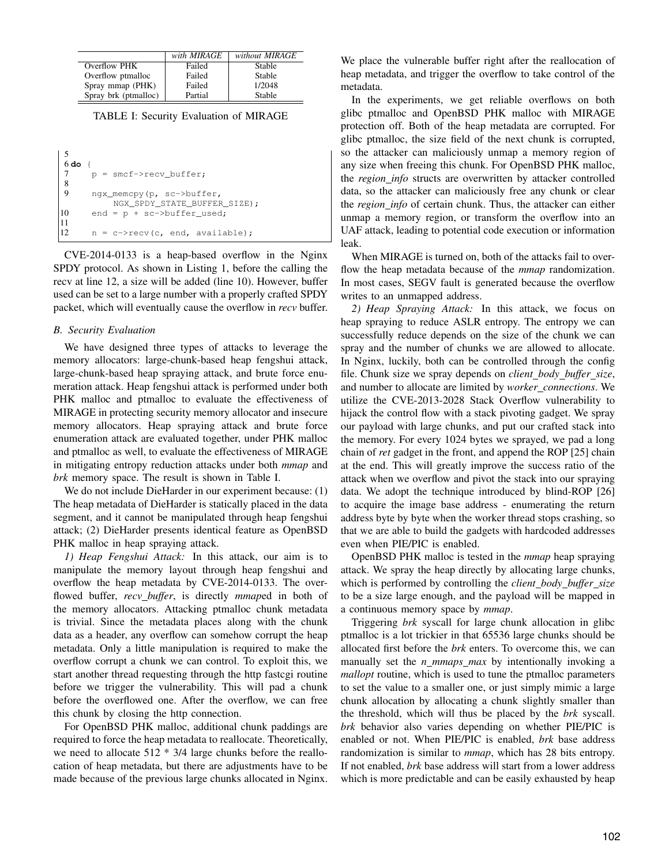|                      | with MIRAGE | without MIRAGE |
|----------------------|-------------|----------------|
| Overflow PHK         | Failed      | Stable         |
| Overflow ptmalloc    | Failed      | Stable         |
| Spray mmap (PHK)     | Failed      | 1/2048         |
| Spray brk (ptmalloc) | Partial     | Stable         |

TABLE I: Security Evaluation of MIRAGE

```
5
6 do {
       p =smcf->recv_buffer;
\begin{array}{c} 8 \\ 9 \end{array}ngx_memcpy(p, sc->buffer,
            NGX_SPDY_STATE_BUFFER_SIZE);
10 end = p + sc->buffer_used;
11
12 n = c->recv(c, end, available);
```
CVE-2014-0133 is a heap-based overflow in the Nginx SPDY protocol. As shown in Listing 1, before the calling the recv at line 12, a size will be added (line 10). However, buffer used can be set to a large number with a properly crafted SPDY packet, which will eventually cause the overflow in *recv* buffer.

#### *B. Security Evaluation*

We have designed three types of attacks to leverage the memory allocators: large-chunk-based heap fengshui attack, large-chunk-based heap spraying attack, and brute force enumeration attack. Heap fengshui attack is performed under both PHK malloc and ptmalloc to evaluate the effectiveness of MIRAGE in protecting security memory allocator and insecure memory allocators. Heap spraying attack and brute force enumeration attack are evaluated together, under PHK malloc and ptmalloc as well, to evaluate the effectiveness of MIRAGE in mitigating entropy reduction attacks under both *mmap* and *brk* memory space. The result is shown in Table I.

We do not include DieHarder in our experiment because: (1) The heap metadata of DieHarder is statically placed in the data segment, and it cannot be manipulated through heap fengshui attack; (2) DieHarder presents identical feature as OpenBSD PHK malloc in heap spraying attack.

*1) Heap Fengshui Attack:* In this attack, our aim is to manipulate the memory layout through heap fengshui and overflow the heap metadata by CVE-2014-0133. The overflowed buffer, *recv buffer*, is directly *mmap*ed in both of the memory allocators. Attacking ptmalloc chunk metadata is trivial. Since the metadata places along with the chunk data as a header, any overflow can somehow corrupt the heap metadata. Only a little manipulation is required to make the overflow corrupt a chunk we can control. To exploit this, we start another thread requesting through the http fastcgi routine before we trigger the vulnerability. This will pad a chunk before the overflowed one. After the overflow, we can free this chunk by closing the http connection.

For OpenBSD PHK malloc, additional chunk paddings are required to force the heap metadata to reallocate. Theoretically, we need to allocate 512 \* 3/4 large chunks before the reallocation of heap metadata, but there are adjustments have to be made because of the previous large chunks allocated in Nginx.

We place the vulnerable buffer right after the reallocation of heap metadata, and trigger the overflow to take control of the metadata.

In the experiments, we get reliable overflows on both glibc ptmalloc and OpenBSD PHK malloc with MIRAGE protection off. Both of the heap metadata are corrupted. For glibc ptmalloc, the size field of the next chunk is corrupted, so the attacker can maliciously unmap a memory region of any size when freeing this chunk. For OpenBSD PHK malloc, the *region info* structs are overwritten by attacker controlled data, so the attacker can maliciously free any chunk or clear the *region info* of certain chunk. Thus, the attacker can either unmap a memory region, or transform the overflow into an UAF attack, leading to potential code execution or information leak.

When MIRAGE is turned on, both of the attacks fail to overflow the heap metadata because of the *mmap* randomization. In most cases, SEGV fault is generated because the overflow writes to an unmapped address.

*2) Heap Spraying Attack:* In this attack, we focus on heap spraying to reduce ASLR entropy. The entropy we can successfully reduce depends on the size of the chunk we can spray and the number of chunks we are allowed to allocate. In Nginx, luckily, both can be controlled through the config file. Chunk size we spray depends on *client body buffer size*, and number to allocate are limited by *worker connections*. We utilize the CVE-2013-2028 Stack Overflow vulnerability to hijack the control flow with a stack pivoting gadget. We spray our payload with large chunks, and put our crafted stack into the memory. For every 1024 bytes we sprayed, we pad a long chain of *ret* gadget in the front, and append the ROP [25] chain at the end. This will greatly improve the success ratio of the attack when we overflow and pivot the stack into our spraying data. We adopt the technique introduced by blind-ROP [26] to acquire the image base address - enumerating the return address byte by byte when the worker thread stops crashing, so that we are able to build the gadgets with hardcoded addresses even when PIE/PIC is enabled.

OpenBSD PHK malloc is tested in the *mmap* heap spraying attack. We spray the heap directly by allocating large chunks, which is performed by controlling the *client body buffer size* to be a size large enough, and the payload will be mapped in a continuous memory space by *mmap*.

Triggering *brk* syscall for large chunk allocation in glibc ptmalloc is a lot trickier in that 65536 large chunks should be allocated first before the *brk* enters. To overcome this, we can manually set the *n\_mmaps\_max* by intentionally invoking a *mallopt* routine, which is used to tune the ptmalloc parameters to set the value to a smaller one, or just simply mimic a large chunk allocation by allocating a chunk slightly smaller than the threshold, which will thus be placed by the *brk* syscall. *brk* behavior also varies depending on whether PIE/PIC is enabled or not. When PIE/PIC is enabled, *brk* base address randomization is similar to *mmap*, which has 28 bits entropy. If not enabled, *brk* base address will start from a lower address which is more predictable and can be easily exhausted by heap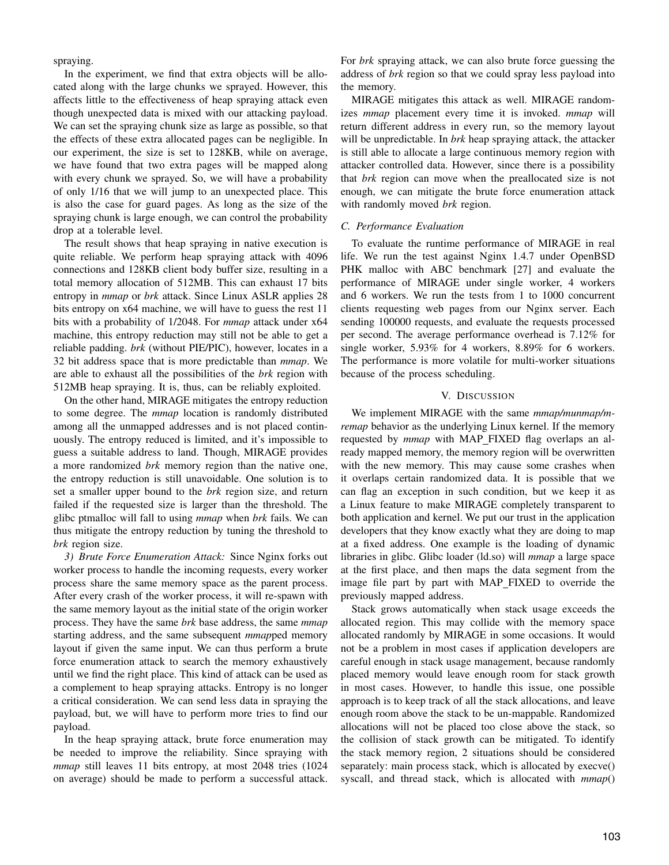spraying.

In the experiment, we find that extra objects will be allocated along with the large chunks we sprayed. However, this affects little to the effectiveness of heap spraying attack even though unexpected data is mixed with our attacking payload. We can set the spraying chunk size as large as possible, so that the effects of these extra allocated pages can be negligible. In our experiment, the size is set to 128KB, while on average, we have found that two extra pages will be mapped along with every chunk we sprayed. So, we will have a probability of only 1/16 that we will jump to an unexpected place. This is also the case for guard pages. As long as the size of the spraying chunk is large enough, we can control the probability drop at a tolerable level.

The result shows that heap spraying in native execution is quite reliable. We perform heap spraying attack with 4096 connections and 128KB client body buffer size, resulting in a total memory allocation of 512MB. This can exhaust 17 bits entropy in *mmap* or *brk* attack. Since Linux ASLR applies 28 bits entropy on x64 machine, we will have to guess the rest 11 bits with a probability of 1/2048. For *mmap* attack under x64 machine, this entropy reduction may still not be able to get a reliable padding. *brk* (without PIE/PIC), however, locates in a 32 bit address space that is more predictable than *mmap*. We are able to exhaust all the possibilities of the *brk* region with 512MB heap spraying. It is, thus, can be reliably exploited.

On the other hand, MIRAGE mitigates the entropy reduction to some degree. The *mmap* location is randomly distributed among all the unmapped addresses and is not placed continuously. The entropy reduced is limited, and it's impossible to guess a suitable address to land. Though, MIRAGE provides a more randomized *brk* memory region than the native one, the entropy reduction is still unavoidable. One solution is to set a smaller upper bound to the *brk* region size, and return failed if the requested size is larger than the threshold. The glibc ptmalloc will fall to using *mmap* when *brk* fails. We can thus mitigate the entropy reduction by tuning the threshold to *brk* region size.

*3) Brute Force Enumeration Attack:* Since Nginx forks out worker process to handle the incoming requests, every worker process share the same memory space as the parent process. After every crash of the worker process, it will re-spawn with the same memory layout as the initial state of the origin worker process. They have the same *brk* base address, the same *mmap* starting address, and the same subsequent *mmap*ped memory layout if given the same input. We can thus perform a brute force enumeration attack to search the memory exhaustively until we find the right place. This kind of attack can be used as a complement to heap spraying attacks. Entropy is no longer a critical consideration. We can send less data in spraying the payload, but, we will have to perform more tries to find our payload.

In the heap spraying attack, brute force enumeration may be needed to improve the reliability. Since spraying with *mmap* still leaves 11 bits entropy, at most 2048 tries (1024 on average) should be made to perform a successful attack. For *brk* spraying attack, we can also brute force guessing the address of *brk* region so that we could spray less payload into the memory.

MIRAGE mitigates this attack as well. MIRAGE randomizes *mmap* placement every time it is invoked. *mmap* will return different address in every run, so the memory layout will be unpredictable. In *brk* heap spraying attack, the attacker is still able to allocate a large continuous memory region with attacker controlled data. However, since there is a possibility that *brk* region can move when the preallocated size is not enough, we can mitigate the brute force enumeration attack with randomly moved *brk* region.

# *C. Performance Evaluation*

To evaluate the runtime performance of MIRAGE in real life. We run the test against Nginx 1.4.7 under OpenBSD PHK malloc with ABC benchmark [27] and evaluate the performance of MIRAGE under single worker, 4 workers and 6 workers. We run the tests from 1 to 1000 concurrent clients requesting web pages from our Nginx server. Each sending 100000 requests, and evaluate the requests processed per second. The average performance overhead is 7.12% for single worker, 5.93% for 4 workers, 8.89% for 6 workers. The performance is more volatile for multi-worker situations because of the process scheduling.

## V. DISCUSSION

We implement MIRAGE with the same *mmap/munmap/mremap* behavior as the underlying Linux kernel. If the memory requested by *mmap* with MAP FIXED flag overlaps an already mapped memory, the memory region will be overwritten with the new memory. This may cause some crashes when it overlaps certain randomized data. It is possible that we can flag an exception in such condition, but we keep it as a Linux feature to make MIRAGE completely transparent to both application and kernel. We put our trust in the application developers that they know exactly what they are doing to map at a fixed address. One example is the loading of dynamic libraries in glibc. Glibc loader (ld.so) will *mmap* a large space at the first place, and then maps the data segment from the image file part by part with MAP FIXED to override the previously mapped address.

Stack grows automatically when stack usage exceeds the allocated region. This may collide with the memory space allocated randomly by MIRAGE in some occasions. It would not be a problem in most cases if application developers are careful enough in stack usage management, because randomly placed memory would leave enough room for stack growth in most cases. However, to handle this issue, one possible approach is to keep track of all the stack allocations, and leave enough room above the stack to be un-mappable. Randomized allocations will not be placed too close above the stack, so the collision of stack growth can be mitigated. To identify the stack memory region, 2 situations should be considered separately: main process stack, which is allocated by execve() syscall, and thread stack, which is allocated with *mmap*()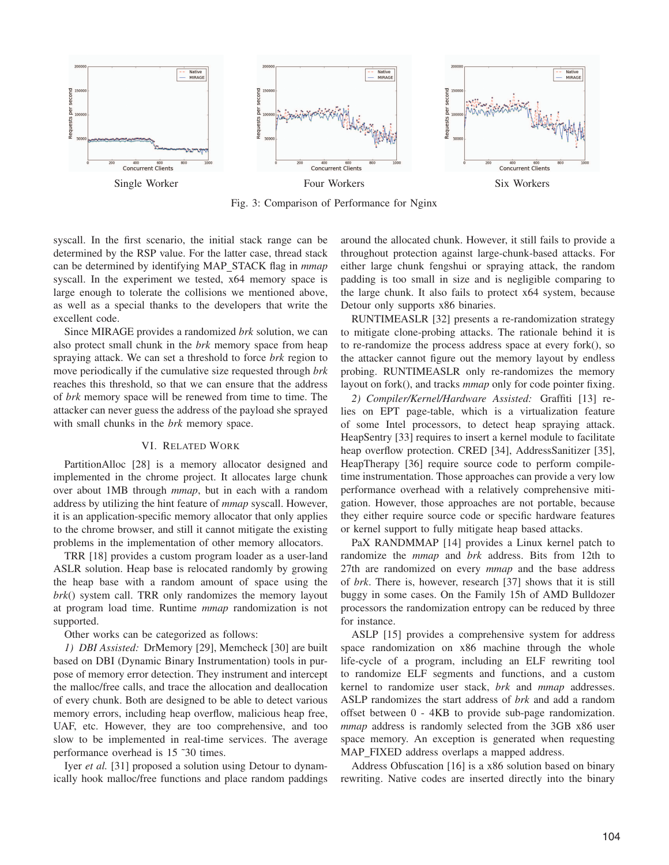

Fig. 3: Comparison of Performance for Nginx

syscall. In the first scenario, the initial stack range can be determined by the RSP value. For the latter case, thread stack can be determined by identifying MAP STACK flag in *mmap* syscall. In the experiment we tested, x64 memory space is large enough to tolerate the collisions we mentioned above, as well as a special thanks to the developers that write the excellent code.

Since MIRAGE provides a randomized *brk* solution, we can also protect small chunk in the *brk* memory space from heap spraying attack. We can set a threshold to force *brk* region to move periodically if the cumulative size requested through *brk* reaches this threshold, so that we can ensure that the address of *brk* memory space will be renewed from time to time. The attacker can never guess the address of the payload she sprayed with small chunks in the *brk* memory space.

#### VI. RELATED WORK

PartitionAlloc [28] is a memory allocator designed and implemented in the chrome project. It allocates large chunk over about 1MB through *mmap*, but in each with a random address by utilizing the hint feature of *mmap* syscall. However, it is an application-specific memory allocator that only applies to the chrome browser, and still it cannot mitigate the existing problems in the implementation of other memory allocators.

TRR [18] provides a custom program loader as a user-land ASLR solution. Heap base is relocated randomly by growing the heap base with a random amount of space using the *brk*() system call. TRR only randomizes the memory layout at program load time. Runtime *mmap* randomization is not supported.

Other works can be categorized as follows:

*1) DBI Assisted:* DrMemory [29], Memcheck [30] are built based on DBI (Dynamic Binary Instrumentation) tools in purpose of memory error detection. They instrument and intercept the malloc/free calls, and trace the allocation and deallocation of every chunk. Both are designed to be able to detect various memory errors, including heap overflow, malicious heap free, UAF, etc. However, they are too comprehensive, and too slow to be implemented in real-time services. The average performance overhead is 15 ˜30 times.

Iyer *et al.* [31] proposed a solution using Detour to dynamically hook malloc/free functions and place random paddings around the allocated chunk. However, it still fails to provide a throughout protection against large-chunk-based attacks. For either large chunk fengshui or spraying attack, the random padding is too small in size and is negligible comparing to the large chunk. It also fails to protect x64 system, because Detour only supports x86 binaries.

RUNTIMEASLR [32] presents a re-randomization strategy to mitigate clone-probing attacks. The rationale behind it is to re-randomize the process address space at every fork(), so the attacker cannot figure out the memory layout by endless probing. RUNTIMEASLR only re-randomizes the memory layout on fork(), and tracks *mmap* only for code pointer fixing.

*2) Compiler/Kernel/Hardware Assisted:* Graffiti [13] relies on EPT page-table, which is a virtualization feature of some Intel processors, to detect heap spraying attack. HeapSentry [33] requires to insert a kernel module to facilitate heap overflow protection. CRED [34], AddressSanitizer [35], HeapTherapy [36] require source code to perform compiletime instrumentation. Those approaches can provide a very low performance overhead with a relatively comprehensive mitigation. However, those approaches are not portable, because they either require source code or specific hardware features or kernel support to fully mitigate heap based attacks.

PaX RANDMMAP [14] provides a Linux kernel patch to randomize the *mmap* and *brk* address. Bits from 12th to 27th are randomized on every *mmap* and the base address of *brk*. There is, however, research [37] shows that it is still buggy in some cases. On the Family 15h of AMD Bulldozer processors the randomization entropy can be reduced by three for instance.

ASLP [15] provides a comprehensive system for address space randomization on x86 machine through the whole life-cycle of a program, including an ELF rewriting tool to randomize ELF segments and functions, and a custom kernel to randomize user stack, *brk* and *mmap* addresses. ASLP randomizes the start address of *brk* and add a random offset between 0 - 4KB to provide sub-page randomization. *mmap* address is randomly selected from the 3GB x86 user space memory. An exception is generated when requesting MAP FIXED address overlaps a mapped address.

Address Obfuscation [16] is a x86 solution based on binary rewriting. Native codes are inserted directly into the binary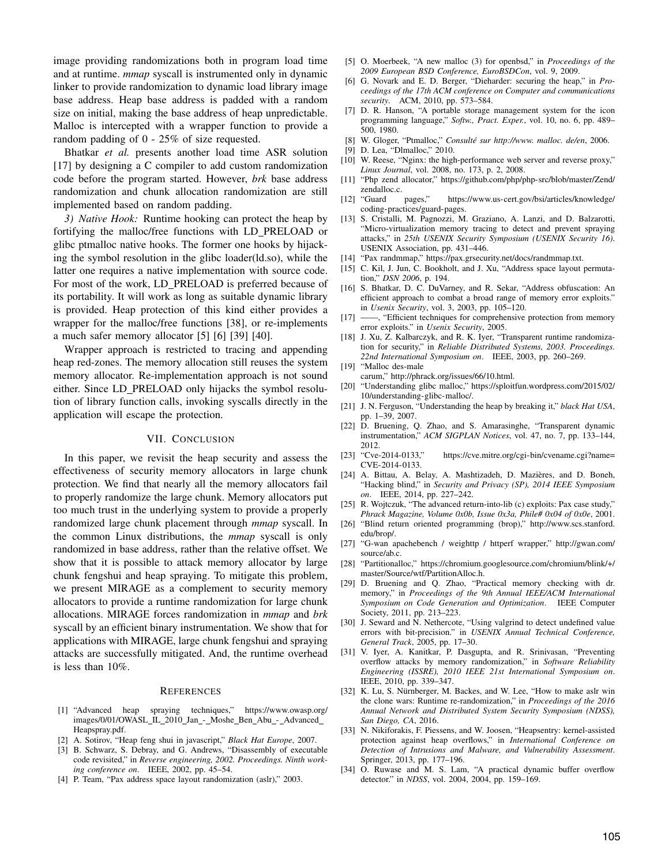image providing randomizations both in program load time and at runtime. *mmap* syscall is instrumented only in dynamic linker to provide randomization to dynamic load library image base address. Heap base address is padded with a random size on initial, making the base address of heap unpredictable. Malloc is intercepted with a wrapper function to provide a random padding of 0 - 25% of size requested.

Bhatkar *et al.* presents another load time ASR solution [17] by designing a C compiler to add custom randomization code before the program started. However, *brk* base address randomization and chunk allocation randomization are still implemented based on random padding.

*3) Native Hook:* Runtime hooking can protect the heap by fortifying the malloc/free functions with LD PRELOAD or glibc ptmalloc native hooks. The former one hooks by hijacking the symbol resolution in the glibc loader(ld.so), while the latter one requires a native implementation with source code. For most of the work, LD PRELOAD is preferred because of its portability. It will work as long as suitable dynamic library is provided. Heap protection of this kind either provides a wrapper for the malloc/free functions [38], or re-implements a much safer memory allocator [5] [6] [39] [40].

Wrapper approach is restricted to tracing and appending heap red-zones. The memory allocation still reuses the system memory allocator. Re-implementation approach is not sound either. Since LD PRELOAD only hijacks the symbol resolution of library function calls, invoking syscalls directly in the application will escape the protection.

#### VII. CONCLUSION

In this paper, we revisit the heap security and assess the effectiveness of security memory allocators in large chunk protection. We find that nearly all the memory allocators fail to properly randomize the large chunk. Memory allocators put too much trust in the underlying system to provide a properly randomized large chunk placement through *mmap* syscall. In the common Linux distributions, the *mmap* syscall is only randomized in base address, rather than the relative offset. We show that it is possible to attack memory allocator by large chunk fengshui and heap spraying. To mitigate this problem, we present MIRAGE as a complement to security memory allocators to provide a runtime randomization for large chunk allocations. MIRAGE forces randomization in *mmap* and *brk* syscall by an efficient binary instrumentation. We show that for applications with MIRAGE, large chunk fengshui and spraying attacks are successfully mitigated. And, the runtime overhead is less than 10%.

#### REFERENCES

- [1] "Advanced heap spraying techniques," https://www.owasp.org/ images/0/01/OWASL\_IL\_2010\_Jan\_-\_Moshe\_Ben\_Abu\_-\_Advanced\_ Heapspray.pdf.
- [2] A. Sotirov, "Heap feng shui in javascript," *Black Hat Europe*, 2007.
- [3] B. Schwarz, S. Debray, and G. Andrews, "Disassembly of executable code revisited," in *Reverse engineering, 2002. Proceedings. Ninth working conference on*. IEEE, 2002, pp. 45–54.
- [4] P. Team, "Pax address space layout randomization (aslr)," 2003.
- [5] O. Moerbeek, "A new malloc (3) for openbsd," in *Proceedings of the 2009 European BSD Conference, EuroBSDCon*, vol. 9, 2009.
- [6] G. Novark and E. D. Berger, "Dieharder: securing the heap," in *Proceedings of the 17th ACM conference on Computer and communications security*. ACM, 2010, pp. 573–584.
- [7] D. R. Hanson, "A portable storage management system for the icon programming language," *Softw., Pract. Exper.*, vol. 10, no. 6, pp. 489– 500, 1980.
- [8] W. Gloger, "Ptmalloc," *Consulté sur http://www. malloc. de/en*, 2006.
- [9] D. Lea, "Dlmalloc," 2010.
- [10] W. Reese, "Nginx: the high-performance web server and reverse proxy," *Linux Journal*, vol. 2008, no. 173, p. 2, 2008.
- [11] "Php zend allocator," https://github.com/php/php-src/blob/master/Zend/ zendalloc.c.
- [12] "Guard pages," https://www.us-cert.gov/bsi/articles/knowledge/ coding-practices/guard-pages.
- [13] S. Cristalli, M. Pagnozzi, M. Graziano, A. Lanzi, and D. Balzarotti, "Micro-virtualization memory tracing to detect and prevent spraying attacks," in *25th USENIX Security Symposium (USENIX Security 16)*. USENIX Association, pp. 431–446.
- [14] "Pax randmmap," https://pax.grsecurity.net/docs/randmmap.txt.
- [15] C. Kil, J. Jun, C. Bookholt, and J. Xu, "Address space layout permutation," *DSN 2006*, p. 194.
- [16] S. Bhatkar, D. C. DuVarney, and R. Sekar, "Address obfuscation: An efficient approach to combat a broad range of memory error exploits." in *Usenix Security*, vol. 3, 2003, pp. 105–120.
- [17] ——, "Efficient techniques for comprehensive protection from memory error exploits." in *Usenix Security*, 2005.
- [18] J. Xu, Z. Kalbarczyk, and R. K. Iyer, "Transparent runtime randomization for security," in *Reliable Distributed Systems, 2003. Proceedings. 22nd International Symposium on*. IEEE, 2003, pp. 260–269. [19] "Malloc des-male
- carum," http://phrack.org/issues/66/10.html.
- [20] "Understanding glibc malloc," https://sploitfun.wordpress.com/2015/02/ 10/understanding-glibc-malloc/.
- [21] J. N. Ferguson, "Understanding the heap by breaking it," *black Hat USA*, pp. 1–39, 2007.
- [22] D. Bruening, Q. Zhao, and S. Amarasinghe, "Transparent dynamic instrumentation," *ACM SIGPLAN Notices*, vol. 47, no. 7, pp. 133–144, 2012.<br>[23] "Cve-2014-0133,"
- https://cve.mitre.org/cgi-bin/cvename.cgi?name= CVE-2014-0133.
- [24] A. Bittau, A. Belay, A. Mashtizadeh, D. Mazières, and D. Boneh, "Hacking blind," in *Security and Privacy (SP), 2014 IEEE Symposium on*. IEEE, 2014, pp. 227–242.
- [25] R. Wojtczuk, "The advanced return-into-lib (c) exploits: Pax case study," *Phrack Magazine, Volume 0x0b, Issue 0x3a, Phile# 0x04 of 0x0e*, 2001.
- [26] "Blind return oriented programming (brop)," http://www.scs.stanford. edu/brop/.
- [27] "G-wan apachebench / weighttp / httperf wrapper," http://gwan.com/ source/ab.c.
- [28] "Partitionalloc," https://chromium.googlesource.com/chromium/blink/+/ master/Source/wtf/PartitionAlloc.h.
- [29] D. Bruening and Q. Zhao, "Practical memory checking with dr. memory," in *Proceedings of the 9th Annual IEEE/ACM International Symposium on Code Generation and Optimization*. IEEE Computer Society, 2011, pp. 213–223.
- [30] J. Seward and N. Nethercote, "Using valgrind to detect undefined value errors with bit-precision." in *USENIX Annual Technical Conference, General Track*, 2005, pp. 17–30.
- [31] V. Iyer, A. Kanitkar, P. Dasgupta, and R. Srinivasan, "Preventing overflow attacks by memory randomization," in *Software Reliability Engineering (ISSRE), 2010 IEEE 21st International Symposium on*. IEEE, 2010, pp. 339–347.
- [32] K. Lu, S. Nürnberger, M. Backes, and W. Lee, "How to make aslr win the clone wars: Runtime re-randomization," in *Proceedings of the 2016 Annual Network and Distributed System Security Symposium (NDSS), San Diego, CA*, 2016.
- [33] N. Nikiforakis, F. Piessens, and W. Joosen, "Heapsentry: kernel-assisted protection against heap overflows," in *International Conference on Detection of Intrusions and Malware, and Vulnerability Assessment*. Springer, 2013, pp. 177–196.
- [34] O. Ruwase and M. S. Lam, "A practical dynamic buffer overflow detector." in *NDSS*, vol. 2004, 2004, pp. 159–169.